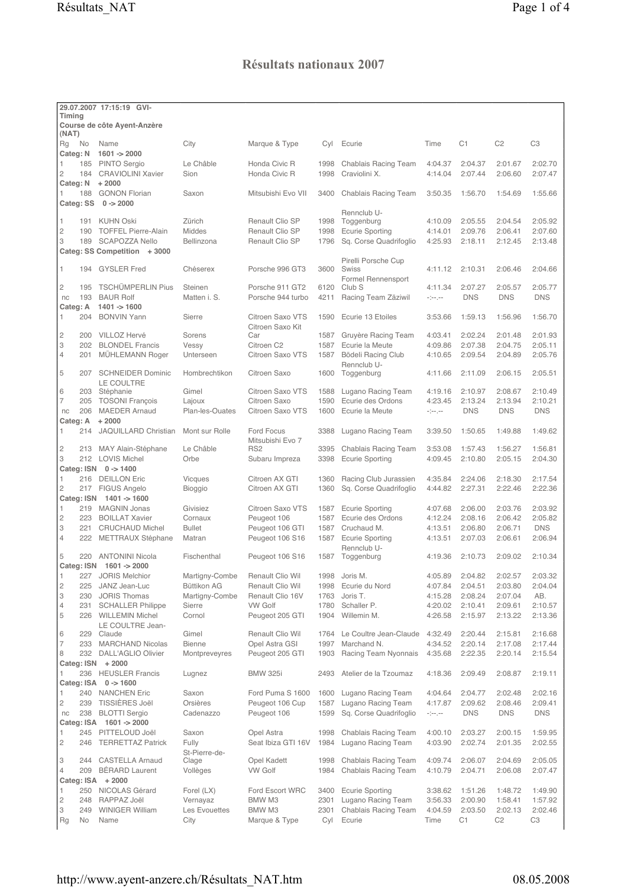## Résultats nationaux 2007

|                                   | 29.07.2007 17:15:19 GVI-                           |                          |                                      |              |                                       |                                                                                                                                                                                  |                    |                    |                       |
|-----------------------------------|----------------------------------------------------|--------------------------|--------------------------------------|--------------|---------------------------------------|----------------------------------------------------------------------------------------------------------------------------------------------------------------------------------|--------------------|--------------------|-----------------------|
| Timing                            | Course de côte Ayent-Anzère                        |                          |                                      |              |                                       |                                                                                                                                                                                  |                    |                    |                       |
| (NAT)                             |                                                    |                          |                                      |              |                                       |                                                                                                                                                                                  |                    |                    |                       |
| Rg<br>No                          | Name                                               | City                     | Marque & Type                        | Cyl          | Ecurie                                | Time                                                                                                                                                                             | C1                 | C <sub>2</sub>     | C <sub>3</sub>        |
| Categ: N                          | $1601 - 2000$                                      |                          |                                      |              |                                       |                                                                                                                                                                                  |                    |                    |                       |
| 185<br>1                          | <b>PINTO Sergio</b>                                | Le Châble                | Honda Civic R                        | 1998         | Chablais Racing Team                  | 4:04.37                                                                                                                                                                          | 2:04.37            | 2:01.67            | 2:02.70               |
| 2<br>184                          | <b>CRAVIOLINI Xavier</b>                           | Sion                     | Honda Civic R                        | 1998         | Craviolini X.                         | 4:14.04                                                                                                                                                                          | 2:07.44            | 2:06.60            | 2:07.47               |
| Categ: N<br>1<br>188              | $+2000$<br><b>GONON Florian</b>                    |                          | Mitsubishi Evo VII                   |              |                                       |                                                                                                                                                                                  | 1:56.70            | 1:54.69            | 1:55.66               |
| Categ: SS                         | $0 - 2000$                                         | Saxon                    |                                      | 3400         | <b>Chablais Racing Team</b>           | 3:50.35                                                                                                                                                                          |                    |                    |                       |
|                                   |                                                    |                          |                                      |              | Rennclub U-                           |                                                                                                                                                                                  |                    |                    |                       |
| 1<br>191                          | <b>KUHN Oski</b>                                   | Zürich                   | <b>Renault Clio SP</b>               | 1998         | Toggenburg                            | 4:10.09                                                                                                                                                                          | 2:05.55            | 2:04.54            | 2:05.92               |
| $\overline{c}$<br>190             | <b>TOFFEL Pierre-Alain</b>                         | <b>Middes</b>            | Renault Clio SP                      | 1998         | <b>Ecurie Sporting</b>                | 4:14.01                                                                                                                                                                          | 2:09.76            | 2:06.41            | 2:07.60               |
| 3<br>189                          | <b>SCAPOZZA Nello</b>                              | Bellinzona               | Renault Clio SP                      | 1796         | Sq. Corse Quadrifoglio                | 4:25.93                                                                                                                                                                          | 2:18.11            | 2:12.45            | 2:13.48               |
|                                   | Categ: SS Competition + 3000                       |                          |                                      |              |                                       |                                                                                                                                                                                  |                    |                    |                       |
| $\mathbf{1}$<br>194               | <b>GYSLER</b> Fred                                 | Chéserex                 | Porsche 996 GT3                      | 3600         | Pirelli Porsche Cup<br>Swiss          | 4:11.12                                                                                                                                                                          | 2:10.31            | 2:06.46            | 2:04.66               |
|                                   |                                                    |                          |                                      |              | Formel Rennensport                    |                                                                                                                                                                                  |                    |                    |                       |
| 2<br>195                          | <b>TSCHÜMPERLIN Pius</b>                           | Steinen                  | Porsche 911 GT2                      | 6120         | Club <sub>S</sub>                     | 4:11.34                                                                                                                                                                          | 2:07.27            | 2:05.57            | 2:05.77               |
| 193<br>nc                         | <b>BAUR Rolf</b>                                   | Matten i. S.             | Porsche 944 turbo                    | 4211         | Racing Team Zäziwil                   | $-1 - 1 - 1$                                                                                                                                                                     | <b>DNS</b>         | <b>DNS</b>         | <b>DNS</b>            |
| Categ: A                          | $1401 - 1600$                                      |                          |                                      |              |                                       |                                                                                                                                                                                  |                    |                    |                       |
| 204<br>1                          | <b>BONVIN Yann</b>                                 | Sierre                   | Citroen Saxo VTS<br>Citroen Saxo Kit | 1590         | Ecurie 13 Etoiles                     | 3:53.66                                                                                                                                                                          | 1:59.13            | 1:56.96            | 1:56.70               |
| $\overline{c}$<br>200             | VILLOZ Hervé                                       | Sorens                   | Car                                  | 1587         | Gruyère Racing Team                   | 4:03.41                                                                                                                                                                          | 2:02.24            | 2:01.48            | 2:01.93               |
| 3<br>202                          | <b>BLONDEL Francis</b>                             | Vessy                    | Citroen C2                           | 1587         | Ecurie la Meute                       | 4:09.86                                                                                                                                                                          | 2:07.38            | 2:04.75            | 2:05.11               |
| $\overline{4}$<br>201             | MÜHLEMANN Roger                                    | Unterseen                | Citroen Saxo VTS                     | 1587         | Bödeli Racing Club                    | 4:10.65                                                                                                                                                                          | 2:09.54            | 2:04.89            | 2:05.76               |
|                                   |                                                    |                          |                                      |              | Rennclub U-                           |                                                                                                                                                                                  |                    |                    |                       |
| 5<br>207                          | <b>SCHNEIDER Dominic</b>                           | Hombrechtikon            | Citroen Saxo                         | 1600         | Toggenburg                            | 4:11.66                                                                                                                                                                          | 2:11.09            | 2:06.15            | 2:05.51               |
| 6<br>203                          | LE COULTRE<br>Stéphanie                            | Gimel                    | Citroen Saxo VTS                     | 1588         | Lugano Racing Team                    | 4:19.16                                                                                                                                                                          | 2:10.97            | 2:08.67            | 2:10.49               |
| 7<br>205                          | <b>TOSONI François</b>                             | Lajoux                   | Citroen Saxo                         | 1590         | Ecurie des Ordons                     | 4:23.45                                                                                                                                                                          | 2:13.24            | 2:13.94            | 2:10.21               |
| 206<br>nc                         | <b>MAEDER Arnaud</b>                               | Plan-les-Ouates          | Citroen Saxo VTS                     | 1600         | Ecurie la Meute                       | $\label{eq:2} \begin{split} \mathcal{L}_{\mathcal{A}}^{\mathcal{A}}(\mathcal{A}^{\mathcal{A}}) = \mathcal{L}_{\mathcal{A}}^{\mathcal{A}}(\mathcal{A}^{\mathcal{A}}) \end{split}$ | <b>DNS</b>         | <b>DNS</b>         | <b>DNS</b>            |
| Categ: A                          | $+2000$                                            |                          |                                      |              |                                       |                                                                                                                                                                                  |                    |                    |                       |
| 1<br>214                          | <b>JAQUILLARD Christian</b>                        | Mont sur Rolle           | Ford Focus                           | 3388         | Lugano Racing Team                    | 3:39.50                                                                                                                                                                          | 1:50.65            | 1:49.88            | 1:49.62               |
| 2<br>213                          | MAY Alain-Stéphane                                 | Le Châble                | Mitsubishi Evo 7<br>RS <sub>2</sub>  | 3395         | Chablais Racing Team                  | 3:53.08                                                                                                                                                                          | 1:57.43            | 1:56.27            | 1:56.81               |
| 3                                 | 212 LOVIS Michel                                   | Orbe                     | Subaru Impreza                       | 3398         | <b>Ecurie Sporting</b>                | 4:09.45                                                                                                                                                                          | 2:10.80            | 2:05.15            | 2:04.30               |
|                                   | Categ: ISN 0 -> 1400                               |                          |                                      |              |                                       |                                                                                                                                                                                  |                    |                    |                       |
| 1                                 | 216 DEILLON Eric                                   | <b>Vicques</b>           | Citroen AX GTI                       | 1360         | Racing Club Jurassien                 | 4:35.84                                                                                                                                                                          | 2:24.06            | 2:18.30            | 2:17.54               |
| $\mathbf{2}$                      | 217 FIGUS Angelo                                   | Bioggio                  | Citroen AX GTI                       | 1360         | Sq. Corse Quadrifoglio                | 4:44.82                                                                                                                                                                          | 2:27.31            | 2:22.46            | 2:22.36               |
| Categ: ISN                        | 1401 -> 1600                                       |                          |                                      |              |                                       |                                                                                                                                                                                  |                    |                    |                       |
| 219<br>1                          | <b>MAGNIN Jonas</b>                                | Givisiez                 | Citroen Saxo VTS                     | 1587         | <b>Ecurie Sporting</b>                | 4:07.68                                                                                                                                                                          | 2:06.00            | 2:03.76            | 2:03.92               |
| $\overline{c}$<br>223<br>3<br>221 | <b>BOILLAT Xavier</b>                              | Cornaux                  | Peugeot 106                          | 1587         | Ecurie des Ordons                     | 4:12.24<br>4:13.51                                                                                                                                                               | 2:08.16            | 2:06.42            | 2:05.82               |
| $\overline{4}$                    | <b>CRUCHAUD Michel</b><br>222 METTRAUX Stéphane    | <b>Bullet</b><br>Matran  | Peugeot 106 GTI<br>Peugeot 106 S16   | 1587<br>1587 | Cruchaud M.<br><b>Ecurie Sporting</b> | 4:13.51                                                                                                                                                                          | 2:06.80<br>2:07.03 | 2:06.71<br>2:06.61 | <b>DNS</b><br>2:06.94 |
|                                   |                                                    |                          |                                      |              | Rennclub U-                           |                                                                                                                                                                                  |                    |                    |                       |
| 5<br>220                          | <b>ANTONINI Nicola</b>                             | Fischenthal              | Peugeot 106 S16                      | 1587         | Toggenburg                            | 4:19.36                                                                                                                                                                          | 2:10.73            | 2:09.02            | 2:10.34               |
| Categ: ISN                        | 1601 -> 2000                                       |                          |                                      |              |                                       |                                                                                                                                                                                  |                    |                    |                       |
| 1<br>227                          | <b>JORIS Melchior</b>                              | Martigny-Combe           | Renault Clio Wil                     | 1998         | Joris M.                              | 4:05.89                                                                                                                                                                          | 2:04.82            | 2:02.57            | 2:03.32               |
| $\mathbf{2}$<br>225               | JANZ Jean-Luc                                      | Büttikon AG              | Renault Clio Wil                     | 1998         | Ecurie du Nord                        | 4:07.84                                                                                                                                                                          | 2:04.51            | 2:03.80            | 2:04.04               |
| 3<br>230<br>4<br>231              | <b>JORIS Thomas</b>                                | Martigny-Combe<br>Sierre | Renault Clio 16V<br><b>VW Golf</b>   | 1763<br>1780 | Joris T.<br>Schaller P.               | 4:15.28<br>4:20.02                                                                                                                                                               | 2:08.24<br>2:10.41 | 2:07.04<br>2:09.61 | AB.<br>2:10.57        |
| 5<br>226                          | <b>SCHALLER Philippe</b><br><b>WILLEMIN Michel</b> | Cornol                   | Peugeot 205 GTI                      | 1904         | Willemin M.                           | 4:26.58                                                                                                                                                                          | 2:15.97            | 2:13.22            | 2:13.36               |
|                                   | LE COULTRE Jean-                                   |                          |                                      |              |                                       |                                                                                                                                                                                  |                    |                    |                       |
| 6                                 | 229 Claude                                         | Gimel                    | Renault Clio Wil                     | 1764         | Le Coultre Jean-Claude                | 4:32.49                                                                                                                                                                          | 2:20.44            | 2:15.81            | 2:16.68               |
| 7                                 | 233 MARCHAND Nicolas                               | Bienne                   | Opel Astra GSI                       | 1997         | Marchand N.                           | 4:34.52                                                                                                                                                                          | 2:20.14            | 2:17.08            | 2:17.44               |
| 8<br>232                          | DALL'AGLIO Olivier                                 | Montpreveyres            | Peugeot 205 GTI                      | 1903         | Racing Team Nyonnais                  | 4:35.68                                                                                                                                                                          | 2:22.35            | 2:20.14            | 2:15.54               |
|                                   | Categ: ISN + 2000                                  |                          |                                      |              |                                       |                                                                                                                                                                                  |                    |                    |                       |
| 1                                 | 236 HEUSLER Francis<br>Categ: ISA 0 -> 1600        | Lugnez                   | <b>BMW 325i</b>                      | 2493         | Atelier de la Tzoumaz                 | 4:18.36                                                                                                                                                                          | 2:09.49            | 2:08.87            | 2:19.11               |
| 240<br>1                          | <b>NANCHEN Eric</b>                                | Saxon                    | Ford Puma S 1600                     | 1600         | Lugano Racing Team                    | 4:04.64                                                                                                                                                                          | 2:04.77            | 2:02.48            | 2:02.16               |
| $\mathbf{2}$<br>239               | TISSIÈRES Joël                                     | Orsières                 | Peugeot 106 Cup                      | 1587         | Lugano Racing Team                    | 4:17.87                                                                                                                                                                          | 2:09.62            | 2:08.46            | 2:09.41               |
| 238<br>nc                         | <b>BLOTTI Sergio</b>                               | Cadenazzo                | Peugeot 106                          | 1599         | Sq. Corse Quadrifoglio                | $\sim$                                                                                                                                                                           | <b>DNS</b>         | <b>DNS</b>         | <b>DNS</b>            |
|                                   | Categ: ISA 1601 -> 2000                            |                          |                                      |              |                                       |                                                                                                                                                                                  |                    |                    |                       |
| 1                                 | 245 PITTELOUD Joël                                 | Saxon                    | Opel Astra                           | 1998         | <b>Chablais Racing Team</b>           | 4:00.10                                                                                                                                                                          | 2:03.27            | 2:00.15            | 1:59.95               |
| $\overline{c}$<br>246             | <b>TERRETTAZ Patrick</b>                           | Fully                    | Seat Ibiza GTI 16V                   | 1984         | Lugano Racing Team                    | 4:03.90                                                                                                                                                                          | 2:02.74            | 2:01.35            | 2:02.55               |
| 3<br>244                          | <b>CASTELLA Arnaud</b>                             | St-Pierre-de-<br>Clage   | Opel Kadett                          | 1998         | Chablais Racing Team                  | 4:09.74                                                                                                                                                                          | 2:06.07            | 2:04.69            | 2:05.05               |
| 209<br>$\overline{4}$             | <b>BÉRARD Laurent</b>                              | Vollèges                 | <b>VW Golf</b>                       | 1984         | Chablais Racing Team                  | 4:10.79                                                                                                                                                                          | 2:04.71            | 2:06.08            | 2:07.47               |
|                                   | Categ: ISA + 2000                                  |                          |                                      |              |                                       |                                                                                                                                                                                  |                    |                    |                       |
| 250<br>1                          | NICOLAS Gérard                                     | Forel (LX)               | Ford Escort WRC                      | 3400         | <b>Ecurie Sporting</b>                | 3:38.62                                                                                                                                                                          | 1:51.26            | 1:48.72            | 1:49.90               |
| $\overline{c}$<br>248             | RAPPAZ Joël                                        | Vernayaz                 | BMW M3                               | 2301         | Lugano Racing Team                    | 3:56.33                                                                                                                                                                          | 2:00.90            | 1:58.41            | 1:57.92               |
| 3<br>249                          | <b>WINIGER William</b>                             | Les Evouettes            | BMW M3                               | 2301         | <b>Chablais Racing Team</b>           | 4:04.59                                                                                                                                                                          | 2:03.50            | 2:02.13            | 2:02.46               |
| $\mathsf{Rg}$<br>No               | Name                                               | City                     | Marque & Type                        | Cyl          | Ecurie                                | Time                                                                                                                                                                             | C1                 | C <sub>2</sub>     | C <sub>3</sub>        |
|                                   |                                                    |                          |                                      |              |                                       |                                                                                                                                                                                  |                    |                    |                       |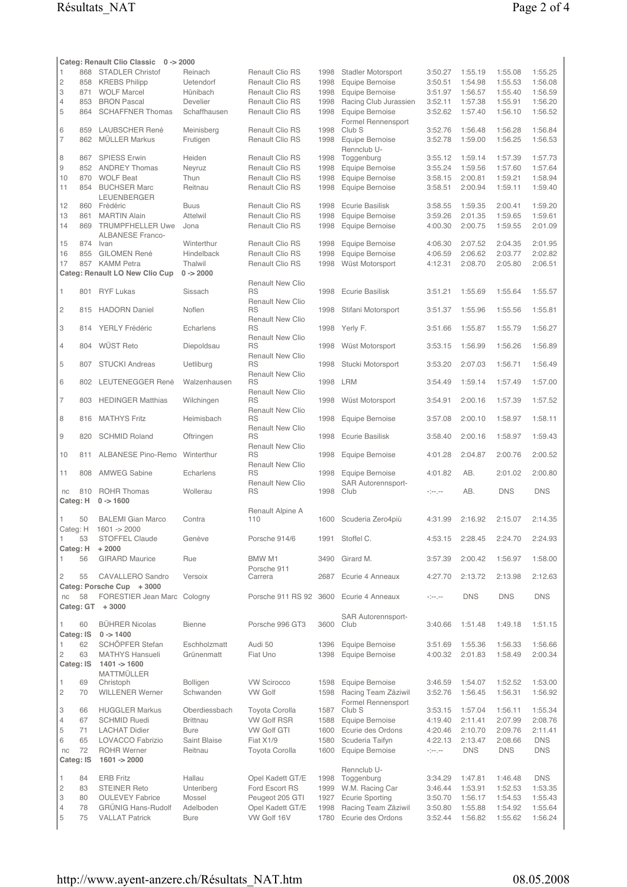|                     |                 | Categ: Renault Clio Classic 0 -> 2000    |                       |                                      |              |                                          |                                                                                                                                                                                    |                    |                    |                    |
|---------------------|-----------------|------------------------------------------|-----------------------|--------------------------------------|--------------|------------------------------------------|------------------------------------------------------------------------------------------------------------------------------------------------------------------------------------|--------------------|--------------------|--------------------|
| 1                   |                 | 868 STADLER Christof                     | Reinach               | Renault Clio RS                      | 1998         | <b>Stadler Motorsport</b>                | 3:50.27                                                                                                                                                                            | 1:55.19            | 1:55.08            | 1:55.25            |
| $\overline{c}$      | 858             | <b>KREBS Philipp</b>                     | Uetendorf             | Renault Clio RS                      | 1998         | Equipe Bernoise                          | 3:50.51                                                                                                                                                                            | 1:54.98            | 1:55.53            | 1:56.08            |
| 3<br>$\overline{4}$ | 871<br>853      | <b>WOLF Marcel</b><br><b>BRON Pascal</b> | Hünibach<br>Develier  | Renault Clio RS<br>Renault Clio RS   | 1998<br>1998 | Equipe Bernoise<br>Racing Club Jurassien | 3:51.97<br>3:52.11                                                                                                                                                                 | 1:56.57<br>1:57.38 | 1:55.40<br>1:55.91 | 1:56.59<br>1:56.20 |
| 5                   | 864             | <b>SCHAFFNER Thomas</b>                  | Schaffhausen          | Renault Clio RS                      | 1998         | Equipe Bernoise                          | 3:52.62                                                                                                                                                                            | 1:57.40            | 1:56.10            | 1:56.52            |
|                     |                 |                                          |                       |                                      |              | Formel Rennensport                       |                                                                                                                                                                                    |                    |                    |                    |
| 6                   | 859             | LAUBSCHER René                           | Meinisberg            | <b>Renault Clio RS</b>               | 1998         | Club <sub>S</sub>                        | 3:52.76                                                                                                                                                                            | 1:56.48            | 1:56.28            | 1:56.84            |
| 7                   | 862             | <b>MÜLLER Markus</b>                     | Frutigen              | Renault Clio RS                      | 1998         | Equipe Bernoise                          | 3:52.78                                                                                                                                                                            | 1:59.00            | 1:56.25            | 1:56.53            |
|                     |                 |                                          |                       |                                      |              | Rennclub U-                              |                                                                                                                                                                                    |                    |                    |                    |
| 8<br>$\mathcal G$   | 867             | <b>SPIESS Erwin</b>                      | Heiden                | Renault Clio RS<br>Renault Clio RS   | 1998         | Toggenburg                               | 3:55.12                                                                                                                                                                            | 1:59.14            | 1:57.39            | 1:57.73            |
| 10                  | 870             | 852 ANDREY Thomas<br><b>WOLF Beat</b>    | Neyruz<br>Thun        | Renault Clio RS                      | 1998<br>1998 | Equipe Bernoise<br>Equipe Bernoise       | 3:55.24<br>3:58.15                                                                                                                                                                 | 1:59.56<br>2:00.81 | 1:57.60<br>1:59.21 | 1:57.64<br>1:58.94 |
| 11                  |                 | 854 BUCHSER Marc                         | Reitnau               | Renault Clio RS                      | 1998         | Equipe Bernoise                          | 3:58.51                                                                                                                                                                            | 2:00.94            | 1:59.11            | 1:59.40            |
|                     |                 | LEUENBERGER                              |                       |                                      |              |                                          |                                                                                                                                                                                    |                    |                    |                    |
| 12                  |                 | 860 Frédéric                             | <b>Buus</b>           | Renault Clio RS                      | 1998         | <b>Ecurie Basilisk</b>                   | 3:58.55                                                                                                                                                                            | 1:59.35            | 2:00.41            | 1:59.20            |
| 13                  | 861             | <b>MARTIN Alain</b>                      | Attelwil              | Renault Clio RS                      | 1998         | Equipe Bernoise                          | 3:59.26                                                                                                                                                                            | 2:01.35            | 1:59.65            | 1:59.61            |
| 14                  | 869             | <b>TRUMPFHELLER Uwe</b>                  | Jona                  | Renault Clio RS                      | 1998         | Equipe Bernoise                          | 4:00.30                                                                                                                                                                            | 2:00.75            | 1:59.55            | 2:01.09            |
| 15                  |                 | <b>ALBANESE Franco-</b><br>874 Ivan      | Winterthur            | Renault Clio RS                      | 1998         | Equipe Bernoise                          | 4:06.30                                                                                                                                                                            | 2:07.52            | 2:04.35            | 2:01.95            |
| 16                  | 855             | <b>GILOMEN René</b>                      | Hindelback            | Renault Clio RS                      | 1998         | Equipe Bernoise                          | 4:06.59                                                                                                                                                                            | 2:06.62            | 2:03.77            | 2:02.82            |
| 17                  |                 | 857 KAMM Petra                           | Thalwil               | Renault Clio RS                      | 1998         | Wüst Motorsport                          | 4:12.31                                                                                                                                                                            | 2:08.70            | 2:05.80            | 2:06.51            |
|                     |                 | Categ: Renault LO New Clio Cup           | $0 - 2000$            |                                      |              |                                          |                                                                                                                                                                                    |                    |                    |                    |
|                     |                 |                                          |                       | <b>Renault New Clio</b>              |              |                                          |                                                                                                                                                                                    |                    |                    |                    |
| 1                   | 801             | <b>RYF Lukas</b>                         | Sissach               | <b>RS</b>                            | 1998         | <b>Ecurie Basilisk</b>                   | 3:51.21                                                                                                                                                                            | 1:55.69            | 1:55.64            | 1:55.57            |
|                     |                 |                                          |                       | <b>Renault New Clio</b>              |              |                                          |                                                                                                                                                                                    |                    |                    |                    |
| $\overline{c}$      | 815             | <b>HADORN</b> Daniel                     | Noflen                | <b>RS</b>                            | 1998         | Stifani Motorsport                       | 3:51.37                                                                                                                                                                            | 1:55.96            | 1:55.56            | 1:55.81            |
| 3                   | 814             | YERLY Frédéric                           | Echarlens             | <b>Renault New Clio</b><br><b>RS</b> | 1998         | Yerly F.                                 | 3:51.66                                                                                                                                                                            | 1:55.87            | 1:55.79            | 1:56.27            |
|                     |                 |                                          |                       | <b>Renault New Clio</b>              |              |                                          |                                                                                                                                                                                    |                    |                    |                    |
| $\overline{4}$      | 804             | WÜST Reto                                | Diepoldsau            | <b>RS</b>                            | 1998         | Wüst Motorsport                          | 3:53.15                                                                                                                                                                            | 1:56.99            | 1:56.26            | 1:56.89            |
|                     |                 |                                          |                       | <b>Renault New Clio</b>              |              |                                          |                                                                                                                                                                                    |                    |                    |                    |
| 5                   | 807             | <b>STUCKI Andreas</b>                    | Uetliburg             | <b>RS</b>                            | 1998         | Stucki Motorsport                        | 3:53.20                                                                                                                                                                            | 2:07.03            | 1:56.71            | 1:56.49            |
| 6                   |                 | 802 LEUTENEGGER René                     | Walzenhausen          | <b>Renault New Clio</b><br><b>RS</b> | 1998         | <b>LRM</b>                               | 3:54.49                                                                                                                                                                            | 1:59.14            | 1:57.49            | 1:57.00            |
|                     |                 |                                          |                       | <b>Renault New Clio</b>              |              |                                          |                                                                                                                                                                                    |                    |                    |                    |
| 7                   | 803             | <b>HEDINGER Matthias</b>                 | Wilchingen            | <b>RS</b>                            | 1998         | Wüst Motorsport                          | 3:54.91                                                                                                                                                                            | 2:00.16            | 1:57.39            | 1:57.52            |
|                     |                 |                                          |                       | <b>Renault New Clio</b>              |              |                                          |                                                                                                                                                                                    |                    |                    |                    |
| 8                   | 816             | <b>MATHYS Fritz</b>                      | Heimisbach            | <b>RS</b>                            | 1998         | Equipe Bernoise                          | 3:57.08                                                                                                                                                                            | 2:00.10            | 1:58.97            | 1:58.11            |
| 9                   | 820             | <b>SCHMID Roland</b>                     | Oftringen             | <b>Renault New Clio</b><br>RS        | 1998         | <b>Ecurie Basilisk</b>                   | 3:58.40                                                                                                                                                                            | 2:00.16            | 1:58.97            | 1:59.43            |
|                     |                 |                                          |                       | <b>Renault New Clio</b>              |              |                                          |                                                                                                                                                                                    |                    |                    |                    |
| 10                  | 811             | ALBANESE Pino-Remo                       | Winterthur            | <b>RS</b>                            | 1998         | Equipe Bernoise                          | 4:01.28                                                                                                                                                                            | 2:04.87            | 2:00.76            | 2:00.52            |
|                     |                 |                                          |                       | <b>Renault New Clio</b>              |              |                                          |                                                                                                                                                                                    |                    |                    |                    |
| 11                  | 808             | <b>AMWEG Sabine</b>                      | Echarlens             | <b>RS</b>                            | 1998         | Equipe Bernoise                          | 4:01.82                                                                                                                                                                            | AB.                | 2:01.02            | 2:00.80            |
| nc                  | 810             | <b>ROHR Thomas</b>                       | Wollerau              | <b>Renault New Clio</b><br><b>RS</b> | 1998         | SAR Autorennsport-<br>Club               | المرمزة                                                                                                                                                                            | AB.                | <b>DNS</b>         | <b>DNS</b>         |
| Categ: H            |                 | $0 - 1600$                               |                       |                                      |              |                                          |                                                                                                                                                                                    |                    |                    |                    |
|                     |                 |                                          |                       | Renault Alpine A                     |              |                                          |                                                                                                                                                                                    |                    |                    |                    |
| 1.                  | 50              |                                          |                       | 110                                  |              |                                          |                                                                                                                                                                                    |                    |                    |                    |
|                     |                 | <b>BALEMI</b> Gian Marco                 | Contra                |                                      |              | 1600 Scuderia Zero4più                   | 4:31.99                                                                                                                                                                            | 2:16.92            | 2:15.07            | 2:14.35            |
| 1                   |                 | Categ: H 1601 -> 2000                    |                       |                                      |              |                                          |                                                                                                                                                                                    |                    |                    |                    |
| Categ: H            | 53              | STOFFEL Claude                           | Genève                | Porsche 914/6                        | 1991         | Stoffel C.                               | 4:53.15                                                                                                                                                                            | 2:28.45            | 2:24.70            | 2:24.93            |
|                     |                 | $+2000$                                  |                       |                                      |              |                                          |                                                                                                                                                                                    |                    |                    |                    |
| 1                   | 56              | <b>GIRARD Maurice</b>                    | Rue                   | <b>BMW M1</b>                        | 3490         | Girard M.                                | 3:57.39                                                                                                                                                                            | 2:00.42            | 1:56.97            | 1:58.00            |
|                     |                 |                                          |                       | Porsche 911                          |              |                                          |                                                                                                                                                                                    |                    |                    |                    |
| 2                   | 55              | CAVALLERO Sandro                         | Versoix               | Carrera                              | 2687         | Ecurie 4 Anneaux                         | 4:27.70                                                                                                                                                                            | 2:13.72            | 2:13.98            | 2:12.63            |
|                     |                 | Categ: Porsche Cup + 3000                |                       | Porsche 911 RS 92 3600               |              |                                          |                                                                                                                                                                                    |                    |                    |                    |
| nc                  | 58<br>Categ: GT | FORESTIER Jean Marc Cologny<br>$+3000$   |                       |                                      |              | Ecurie 4 Anneaux                         | $\label{eq:2} \begin{split} \mathcal{L}_{\mathcal{A}}^{\mathcal{A}}(\mathcal{A}^{\mathcal{A}}) = \mathcal{L}_{\mathcal{A}}^{\mathcal{A}}(\mathcal{A}^{\mathcal{A}}) \end{split}$   | <b>DNS</b>         | <b>DNS</b>         | <b>DNS</b>         |
|                     |                 |                                          |                       |                                      |              | <b>SAR Autorennsport-</b>                |                                                                                                                                                                                    |                    |                    |                    |
| 1.                  | 60              | <b>BÜHRER Nicolas</b>                    | <b>Bienne</b>         | Porsche 996 GT3                      | 3600         | Club                                     | 3:40.66                                                                                                                                                                            | 1:51.48            | 1:49.18            | 1:51.15            |
| Categ: IS           |                 | $0 - > 1400$                             |                       |                                      |              |                                          |                                                                                                                                                                                    |                    |                    |                    |
| 1                   | 62              | SCHÖPFER Stefan                          | Eschholzmatt          | Audi 50                              | 1396         | Equipe Bernoise                          | 3:51.69                                                                                                                                                                            | 1:55.36            | 1:56.33            | 1:56.66            |
| $\mathbf{2}$        | 63              | <b>MATHYS Hansueli</b>                   | Grünenmatt            | Fiat Uno                             | 1398         | Equipe Bernoise                          | 4:00.32                                                                                                                                                                            | 2:01.83            | 1:58.49            | 2:00.34            |
| Categ: IS           |                 | $1401 - 1600$                            |                       |                                      |              |                                          |                                                                                                                                                                                    |                    |                    |                    |
| 1                   |                 | MATTMÜLLER                               |                       | <b>VW Scirocco</b>                   | 1598         |                                          | 3:46.59                                                                                                                                                                            | 1:54.07            | 1:52.52            | 1:53.00            |
| $\mathbf{2}$        | 69<br>70        | Christoph<br><b>WILLENER Werner</b>      | Bolligen<br>Schwanden | <b>VW Golf</b>                       | 1598         | Equipe Bernoise<br>Racing Team Zäziwil   | 3:52.76                                                                                                                                                                            | 1:56.45            | 1:56.31            | 1:56.92            |
|                     |                 |                                          |                       |                                      |              | Formel Rennensport                       |                                                                                                                                                                                    |                    |                    |                    |
| 3                   | 66              | <b>HUGGLER Markus</b>                    | Oberdiessbach         | Toyota Corolla                       | 1587         | Club <sub>S</sub>                        | 3:53.15                                                                                                                                                                            | 1:57.04            | 1:56.11            | 1:55.34            |
| 4                   | 67              | <b>SCHMID Ruedi</b>                      | <b>Brittnau</b>       | <b>VW Golf RSR</b>                   | 1588         | Equipe Bernoise                          | 4:19.40                                                                                                                                                                            | 2:11.41            | 2:07.99            | 2:08.76            |
| 5                   | 71              | <b>LACHAT Didier</b>                     | <b>Bure</b>           | <b>VW Golf GTI</b>                   | 1600         | Ecurie des Ordons                        | 4:20.46                                                                                                                                                                            | 2:10.70            | 2:09.76            | 2:11.41            |
| 6                   | 65              | <b>LOVACCO Fabrizio</b>                  | Saint Blaise          | Fiat X1/9                            | 1580         | Scuderia Taifyn                          | 4:22.13                                                                                                                                                                            | 2:13.47            | 2:08.66            | <b>DNS</b>         |
| nc                  | 72              | <b>ROHR Werner</b>                       | Reitnau               | Toyota Corolla                       | 1600         | Equipe Bernoise                          | $\label{eq:3.1} \begin{split} \mathcal{L}_{\mathcal{A}}^{\mathcal{A}}(\mathcal{A}^{\mathcal{A}}) = \mathcal{L}_{\mathcal{A}}^{\mathcal{A}}(\mathcal{A}^{\mathcal{A}}) \end{split}$ | <b>DNS</b>         | <b>DNS</b>         | <b>DNS</b>         |
| Categ: IS           |                 | $1601 - 2000$                            |                       |                                      |              |                                          |                                                                                                                                                                                    |                    |                    |                    |
| 1                   | 84              | <b>ERB Fritz</b>                         | Hallau                | Opel Kadett GT/E                     | 1998         | Rennclub U-<br>Toggenburg                | 3:34.29                                                                                                                                                                            | 1:47.81            | 1:46.48            | <b>DNS</b>         |
| $\overline{c}$      | 83              | <b>STEINER Reto</b>                      | Unteriberg            | Ford Escort RS                       | 1999         | W.M. Racing Car                          | 3:46.44                                                                                                                                                                            | 1:53.91            | 1:52.53            | 1:53.35            |
| 3                   | 80              | <b>OULEVEY Fabrice</b>                   | Mossel                | Peugeot 205 GTI                      | 1927         | <b>Ecurie Sporting</b>                   | 3:50.70                                                                                                                                                                            | 1:56.17            | 1:54.53            | 1:55.43            |
| $\overline{4}$      | 78              | <b>GRÜNIG Hans-Rudolf</b>                | Adelboden             | Opel Kadett GT/E                     | 1998         | Racing Team Zäziwil                      | 3:50.80                                                                                                                                                                            | 1:55.88            | 1:54.92            | 1:55.64            |
| 5                   | 75              | <b>VALLAT Patrick</b>                    | <b>Bure</b>           | VW Golf 16V                          | 1780         | Ecurie des Ordons                        | 3:52.44                                                                                                                                                                            | 1:56.82            | 1:55.62            | 1:56.24            |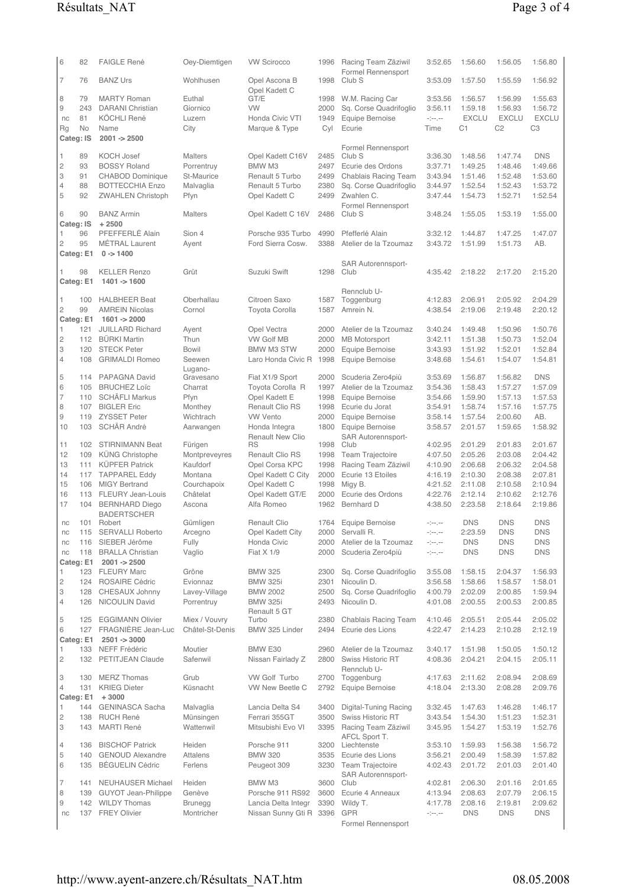| 6                   | 82               | <b>FAIGLE René</b>                               | Oey-Diemtigen                | <b>VW Scirocco</b>                             | 1996         | Racing Team Zäziwil                       | 3:52.65                                                                                                                                                                                              | 1:56.60               | 1:56.05                        | 1:56.80                        |
|---------------------|------------------|--------------------------------------------------|------------------------------|------------------------------------------------|--------------|-------------------------------------------|------------------------------------------------------------------------------------------------------------------------------------------------------------------------------------------------------|-----------------------|--------------------------------|--------------------------------|
| 7                   | 76               | <b>BANZ Urs</b>                                  | Wohlhusen                    | Opel Ascona B                                  | 1998         | Formel Rennensport<br>Club <sub>S</sub>   | 3:53.09                                                                                                                                                                                              | 1:57.50               | 1:55.59                        | 1:56.92                        |
| 8                   | 79               | <b>MARTY Roman</b>                               | Euthal                       | Opel Kadett C<br>GT/E                          | 1998         | W.M. Racing Car                           | 3:53.56                                                                                                                                                                                              | 1:56.57               | 1:56.99                        | 1:55.63                        |
| 9                   | 243              | <b>DARANI</b> Christian                          | Giornico                     | VW                                             | 2000         | Sq. Corse Quadrifoglio                    | 3:56.11                                                                                                                                                                                              | 1:59.18               | 1:56.93                        | 1:56.72                        |
| nc                  | 81<br>No         | <b>KÖCHLI René</b><br>Name                       | Luzern                       | Honda Civic VTI                                | 1949         | Equipe Bernoise<br>Ecurie                 | $\label{eq:4} \begin{split} \mathcal{L}^{(1)}_{\mathcal{A}}(\mathcal{A}^{\mathcal{A}}_{\mathcal{A}}) = \mathcal{L}^{(1)}_{\mathcal{A}}(\mathcal{A}^{\mathcal{A}}_{\mathcal{A}}) \end{split}$<br>Time | <b>EXCLU</b><br>C1    | <b>EXCLU</b><br>C <sub>2</sub> | <b>EXCLU</b><br>C <sub>3</sub> |
| <b>Rg</b>           | Categ: IS        | $2001 - 2500$                                    | City                         | Marque & Type                                  | Cyl          |                                           |                                                                                                                                                                                                      |                       |                                |                                |
| 1                   | 89               | <b>KOCH Josef</b>                                | <b>Malters</b>               | Opel Kadett C16V                               | 2485         | Formel Rennensport<br>Club <sub>S</sub>   | 3:36.30                                                                                                                                                                                              | 1:48.56               | 1:47.74                        | <b>DNS</b>                     |
| $\mathbf{2}$        | 93               | <b>BOSSY Roland</b>                              | Porrentruy                   | <b>BMW M3</b>                                  | 2497         | Ecurie des Ordons                         | 3:37.71                                                                                                                                                                                              | 1:49.25               | 1:48.46                        | 1:49.66                        |
| 3                   | 91               | <b>CHABOD Dominique</b>                          | St-Maurice                   | Renault 5 Turbo                                | 2499         | Chablais Racing Team                      | 3:43.94                                                                                                                                                                                              | 1:51.46               | 1:52.48                        | 1:53.60                        |
| $\overline{4}$      | 88               | <b>BOTTECCHIA Enzo</b>                           | Malvaglia                    | Renault 5 Turbo                                | 2380         | Sq. Corse Quadrifoglio                    | 3:44.97                                                                                                                                                                                              | 1:52.54               | 1:52.43                        | 1:53.72                        |
| 5                   | 92               | <b>ZWAHLEN Christoph</b>                         | Pfyn                         | Opel Kadett C                                  | 2499         | Zwahlen C.                                | 3:47.44                                                                                                                                                                                              | 1:54.73               | 1:52.71                        | 1:52.54                        |
| 6                   | 90               | <b>BANZ Armin</b>                                | <b>Malters</b>               | Opel Kadett C 16V                              | 2486         | Formel Rennensport<br>Club <sub>S</sub>   | 3:48.24                                                                                                                                                                                              | 1:55.05               | 1:53.19                        | 1:55.00                        |
|                     | Categ: IS        | $+2500$                                          |                              |                                                |              |                                           |                                                                                                                                                                                                      |                       |                                |                                |
| 1                   | 96               | PFEFFERLÉ Alain                                  | Sion 4                       | Porsche 935 Turbo                              | 4990         | Pfefferlé Alain                           | 3:32.12                                                                                                                                                                                              | 1:44.87               | 1:47.25                        | 1:47.07                        |
| 2                   | 95               | <b>MÉTRAL Laurent</b>                            | Ayent                        | Ford Sierra Cosw.                              | 3388         | Atelier de la Tzoumaz                     | 3:43.72                                                                                                                                                                                              | 1:51.99               | 1:51.73                        | AB.                            |
|                     | Categ: E1        | $0 - > 1400$                                     |                              |                                                |              | SAR Autorennsport-                        |                                                                                                                                                                                                      |                       |                                |                                |
|                     | 98               | <b>KELLER Renzo</b>                              | Grüt                         | Suzuki Swift                                   | 1298         | Club                                      | 4:35.42                                                                                                                                                                                              | 2:18.22               | 2:17.20                        | 2:15.20                        |
|                     | Categ: E1        | 1401 -> 1600                                     |                              |                                                |              |                                           |                                                                                                                                                                                                      |                       |                                |                                |
| 1                   | 100              | <b>HALBHEER Beat</b>                             | Oberhallau                   | Citroen Saxo                                   | 1587         | Rennclub U-<br>Toggenburg                 | 4:12.83                                                                                                                                                                                              | 2:06.91               | 2:05.92                        | 2:04.29                        |
| $\overline{c}$      | 99               | <b>AMREIN Nicolas</b>                            | Cornol                       | <b>Toyota Corolla</b>                          | 1587         | Amrein N.                                 | 4:38.54                                                                                                                                                                                              | 2:19.06               | 2:19.48                        | 2:20.12                        |
|                     |                  | Categ: E1 1601 -> 2000                           |                              |                                                |              |                                           |                                                                                                                                                                                                      |                       |                                |                                |
| 1                   | 121              | <b>JUILLARD Richard</b>                          | Ayent                        | Opel Vectra                                    | 2000         | Atelier de la Tzoumaz                     | 3:40.24                                                                                                                                                                                              | 1:49.48               | 1:50.96                        | 1:50.76                        |
| $\overline{c}$<br>3 | 112<br>120       | <b>BÜRKI Martin</b><br><b>STECK Peter</b>        | Thun<br><b>Bowil</b>         | <b>VW Golf MB</b><br><b>BMW M3 STW</b>         | 2000<br>2000 | <b>MB</b> Motorsport<br>Equipe Bernoise   | 3:42.11<br>3:43.93                                                                                                                                                                                   | 1:51.38<br>1:51.92    | 1:50.73<br>1:52.01             | 1:52.04<br>1:52.84             |
| $\overline{4}$      | 108              | <b>GRIMALDI Romeo</b>                            | Seewen                       | Laro Honda Civic R                             | 1998         | Equipe Bernoise                           | 3:48.68                                                                                                                                                                                              | 1:54.61               | 1:54.07                        | 1:54.81                        |
|                     |                  |                                                  | Lugano-                      |                                                |              |                                           |                                                                                                                                                                                                      |                       |                                |                                |
| 5                   | 114              | PAPAGNA David                                    | Gravesano                    | Fiat X1/9 Sport                                | 2000         | Scuderia Zero4più                         | 3:53.69                                                                                                                                                                                              | 1:56.87               | 1:56.82                        | <b>DNS</b>                     |
| 6<br>7              | 105<br>110       | <b>BRUCHEZ Loïc</b><br><b>SCHÄFLI Markus</b>     | Charrat<br>Pfyn              | Toyota Corolla R<br>Opel Kadett E              | 1997<br>1998 | Atelier de la Tzoumaz<br>Equipe Bernoise  | 3:54.36<br>3:54.66                                                                                                                                                                                   | 1:58.43<br>1:59.90    | 1:57.27<br>1:57.13             | 1:57.09<br>1:57.53             |
| 8                   |                  | 107 BIGLER Eric                                  | Monthey                      | <b>Renault Clio RS</b>                         | 1998         | Ecurie du Jorat                           | 3:54.91                                                                                                                                                                                              | 1:58.74               | 1:57.16                        | 1:57.75                        |
| 9                   | 119              | <b>ZYSSET Peter</b>                              | Wichtrach                    | <b>VW Vento</b>                                | 2000         | Equipe Bernoise                           | 3:58.14                                                                                                                                                                                              | 1:57.54               | 2:00.60                        | AB.                            |
| 10                  | 103              | SCHÄR André                                      | Aarwangen                    | Honda Integra                                  | 1800         | Equipe Bernoise                           | 3:58.57                                                                                                                                                                                              | 2:01.57               | 1:59.65                        | 1:58.92                        |
| 11                  | 102              | <b>STIRNIMANN Beat</b>                           | Fürigen                      | <b>Renault New Clio</b><br><b>RS</b>           | 1998         | SAR Autorennsport-<br>Club                | 4:02.95                                                                                                                                                                                              | 2:01.29               | 2:01.83                        | 2:01.67                        |
| 12                  | 109              | KÜNG Christophe                                  | Montpreveyres                | Renault Clio RS                                | 1998         | Team Trajectoire                          | 4:07.50                                                                                                                                                                                              | 2:05.26               | 2:03.08                        | 2:04.42                        |
| 13                  | 111              | <b>KÜPFER Patrick</b>                            | Kaufdorf                     | Opel Corsa KPC                                 | 1998         | Racing Team Zäziwil                       | 4:10.90                                                                                                                                                                                              | 2:06.68               | 2:06.32                        | 2:04.58                        |
| 14                  | 117              | <b>TAPPAREL Eddy</b>                             | Montana                      | Opel Kadett C City                             | 2000         | Ecurie 13 Etoiles                         | 4:16.19                                                                                                                                                                                              | 2:10.30               | 2:08.38                        | 2:07.81                        |
| 15<br>16            | 106<br>113       | <b>MIGY Bertrand</b><br><b>FLEURY Jean-Louis</b> | Courchapoix<br>Châtelat      | Opel Kadett C<br>Opel Kadett GT/E              | 1998<br>2000 | Migy B.<br>Ecurie des Ordons              | 4:21.52<br>4:22.76                                                                                                                                                                                   | 2:11.08<br>2:12.14    | 2:10.58<br>2:10.62             | 2:10.94<br>2:12.76             |
| 17                  | 104              | <b>BERNHARD Diego</b>                            | Ascona                       | Alfa Romeo                                     | 1962         | <b>Bernhard D</b>                         | 4:38.50                                                                                                                                                                                              | 2:23.58               | 2:18.64                        | 2:19.86                        |
|                     |                  | <b>BADERTSCHER</b>                               |                              |                                                |              |                                           |                                                                                                                                                                                                      |                       |                                |                                |
| nc                  |                  | 101 Robert                                       | Gümligen                     | Renault Clio                                   |              | 1764 Equipe Bernoise                      | $\sim$ $\sim$                                                                                                                                                                                        | <b>DNS</b>            | <b>DNS</b>                     | <b>DNS</b>                     |
| nc<br>nc            | 116              | 115 SERVALLI Roberto<br>SIEBER Jérôme            | Arcegno<br>Fully             | Opel Kadett City<br>Honda Civic                | 2000         | 2000 Servalli R.<br>Atelier de la Tzoumaz | -1-1-<br>$\label{eq:3.1} \begin{split} \mathcal{L}_{\mathcal{A}}^{\mathcal{A}}(\mathcal{A}^{\mathcal{A}}) = \mathcal{L}_{\mathcal{A}}^{\mathcal{A}}(\mathcal{A}^{\mathcal{A}}) \end{split}$          | 2:23.59<br><b>DNS</b> | DNS<br><b>DNS</b>              | <b>DNS</b><br><b>DNS</b>       |
| nc                  |                  | 118 BRALLA Christian                             | Vaglio                       | Fiat X 1/9                                     | 2000         | Scuderia Zero4più                         | $\label{eq:3.1} \begin{split} \mathcal{L}_{\mathcal{A}}^{\mathcal{A}}(\mathcal{A}^{\mathcal{A}}) = \mathcal{L}_{\mathcal{A}}^{\mathcal{A}}(\mathcal{A}^{\mathcal{A}}) \end{split}$                   | <b>DNS</b>            | <b>DNS</b>                     | <b>DNS</b>                     |
|                     |                  | Categ: E1 2001 -> 2500                           |                              |                                                |              |                                           |                                                                                                                                                                                                      |                       |                                |                                |
| 1                   |                  | 123 FLEURY Marc                                  | Grône                        | <b>BMW 325</b>                                 | 2300         | Sq. Corse Quadrifoglio                    | 3:55.08                                                                                                                                                                                              | 1:58.15               | 2:04.37                        | 1:56.93                        |
| 2<br>3              | 128              | 124 ROSAIRE Cédric<br>CHESAUX Johnny             | Evionnaz<br>Lavey-Village    | <b>BMW 325i</b><br><b>BMW 2002</b>             | 2301<br>2500 | Nicoulin D.<br>Sq. Corse Quadrifoqlio     | 3:56.58<br>4:00.79                                                                                                                                                                                   | 1:58.66<br>2:02.09    | 1:58.57<br>2:00.85             | 1:58.01<br>1:59.94             |
| 4                   | 126              | <b>NICOULIN David</b>                            | Porrentruy                   | <b>BMW 325i</b>                                | 2493         | Nicoulin D.                               | 4:01.08                                                                                                                                                                                              | 2:00.55               | 2:00.53                        | 2:00.85                        |
|                     |                  |                                                  |                              | Renault 5 GT                                   |              |                                           |                                                                                                                                                                                                      |                       |                                |                                |
| 5                   | 125              | <b>EGGIMANN Olivier</b>                          | Miex / Vouvry                | Turbo                                          | 2380         | Chablais Racing Team                      | 4:10.46                                                                                                                                                                                              | 2:05.51               | 2:05.44                        | 2:05.02                        |
| 6                   | 127<br>Categ: E1 | FRAGNIÈRE Jean-Luc<br>$2501 - 3000$              | Châtel-St-Denis              | BMW 325 Linder                                 | 2494         | Ecurie des Lions                          | 4:22.47                                                                                                                                                                                              | 2:14.23               | 2:10.28                        | 2:12.19                        |
| 1                   |                  | 133 NEFF Frédéric                                | Moutier                      | BMW E30                                        | 2960         | Atelier de la Tzoumaz                     | 3:40.17                                                                                                                                                                                              | 1:51.98               | 1:50.05                        | 1:50.12                        |
| 2                   | 132              | PETITJEAN Claude                                 | Safenwil                     | Nissan Fairlady Z                              | 2800         | <b>Swiss Historic RT</b>                  | 4:08.36                                                                                                                                                                                              | 2:04.21               | 2:04.15                        | 2:05.11                        |
| 3                   | 130              | <b>MERZ Thomas</b>                               | Grub                         | VW Golf Turbo                                  |              | Rennclub U-<br>2700 Toggenburg            | 4:17.63                                                                                                                                                                                              | 2:11.62               | 2:08.94                        | 2:08.69                        |
| $\overline{4}$      | 131              | <b>KRIEG Dieter</b>                              | Küsnacht                     | VW New Beetle C                                | 2792         | Equipe Bernoise                           | 4:18.04                                                                                                                                                                                              | 2:13.30               | 2:08.28                        | 2:09.76                        |
|                     |                  | Categ: $E1 + 3000$                               |                              |                                                |              |                                           |                                                                                                                                                                                                      |                       |                                |                                |
| 1                   | 144              | <b>GENINASCA Sacha</b>                           | Malvaglia                    | Lancia Delta S4                                | 3400         | Digital-Tuning Racing                     | 3:32.45                                                                                                                                                                                              | 1:47.63               | 1:46.28                        | 1:46.17                        |
| 2<br>3              | 138<br>143       | <b>RUCH René</b><br><b>MARTI René</b>            | Münsingen<br>Wattenwil       | Ferrari 355GT<br>Mitsubishi Evo VI             | 3500<br>3395 | Swiss Historic RT<br>Racing Team Zäziwil  | 3:43.54<br>3:45.95                                                                                                                                                                                   | 1:54.30<br>1:54.27    | 1:51.23<br>1:53.19             | 1:52.31<br>1:52.76             |
|                     |                  |                                                  |                              |                                                |              | AFCL Sport T.                             |                                                                                                                                                                                                      |                       |                                |                                |
| 4                   | 136              | <b>BISCHOF Patrick</b>                           | Heiden                       | Porsche 911                                    | 3200         | Liechtenste                               | 3:53.10                                                                                                                                                                                              | 1:59.93               | 1:56.38                        | 1:56.72                        |
| 5                   | 140              | <b>GENOUD Alexandre</b>                          | Attalens                     | <b>BMW 320</b>                                 | 3535         | Ecurie des Lions                          | 3:56.21                                                                                                                                                                                              | 2:00.49               | 1:58.39                        | 1:57.82                        |
| 6                   | 135              | <b>BÉGUELIN Cédric</b>                           | Ferlens                      | Peugeot 309                                    | 3230         | Team Trajectoire<br>SAR Autorennsport-    | 4:02.43                                                                                                                                                                                              | 2:01.72               | 2:01.03                        | 2:01.40                        |
| 7                   | 141              | <b>NEUHAUSER Michael</b>                         | Heiden                       | BMW M3                                         | 3600         | Club                                      | 4:02.81                                                                                                                                                                                              | 2:06.30               | 2:01.16                        | 2:01.65                        |
| 8                   |                  | 139 GUYOT Jean-Philippe                          | Genève                       | Porsche 911 RS92                               | 3600         | Ecurie 4 Anneaux                          | 4:13.94                                                                                                                                                                                              | 2:08.63               | 2:07.79                        | 2:06.15                        |
| 9<br>nc             |                  | 142 WILDY Thomas<br>137 FREY Olivier             | <b>Brunegg</b><br>Montricher | Lancia Delta Integr<br>Nissan Sunny Gti R 3396 | 3390         | Wildy T.<br><b>GPR</b>                    | 4:17.78<br>$\label{eq:3.1} \begin{split} \mathcal{L}_{\mathcal{A}}^{\text{max}}(\mathcal{A}^{\text{max}}) = \mathcal{L}_{\mathcal{A}}^{\text{max}}(\mathcal{A}^{\text{max}}) \end{split}$            | 2:08.16<br><b>DNS</b> | 2:19.81<br><b>DNS</b>          | 2:09.62<br><b>DNS</b>          |
|                     |                  |                                                  |                              |                                                |              | Formel Rennensport                        |                                                                                                                                                                                                      |                       |                                |                                |
|                     |                  |                                                  |                              |                                                |              |                                           |                                                                                                                                                                                                      |                       |                                |                                |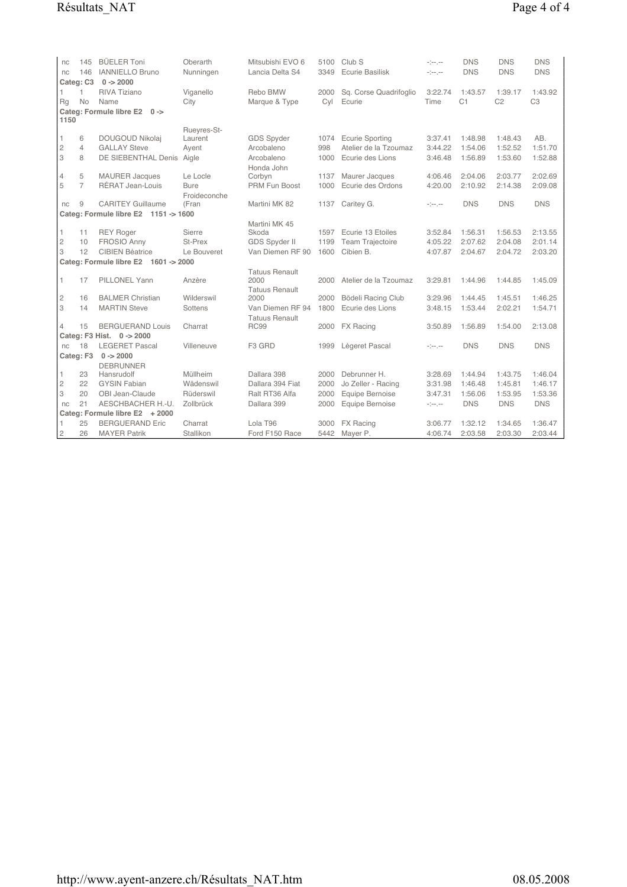| nc<br>nc            | 145<br>146     | <b>BÜELER Toni</b><br><b>IANNIELLO Bruno</b> | Oberarth<br>Nunningen | Mitsubishi EVO 6<br>Lancia Delta S4      | 5100<br>3349 | Club <sub>S</sub><br>Ecurie Basilisk | -1-1-<br>المرمزة          | <b>DNS</b><br><b>DNS</b> | <b>DNS</b><br><b>DNS</b> | <b>DNS</b><br><b>DNS</b> |
|---------------------|----------------|----------------------------------------------|-----------------------|------------------------------------------|--------------|--------------------------------------|---------------------------|--------------------------|--------------------------|--------------------------|
|                     | Categ: C3      | $0 - 2000$                                   |                       |                                          |              |                                      |                           |                          |                          |                          |
| 1                   | 1              | <b>RIVA Tiziano</b>                          | Viganello             | Rebo BMW                                 | 2000         | Sq. Corse Quadrifoglio               | 3:22.74                   | 1:43.57                  | 1:39.17                  | 1:43.92                  |
| Rq                  | No             | Name                                         | City                  | Marque & Type                            | Cyl          | Ecurie                               | Time                      | C <sub>1</sub>           | C <sub>2</sub>           | C <sub>3</sub>           |
|                     |                | Categ: Formule libre E2 0->                  |                       |                                          |              |                                      |                           |                          |                          |                          |
| 1150                |                |                                              |                       |                                          |              |                                      |                           |                          |                          |                          |
|                     |                |                                              | Rueyres-St-           |                                          |              |                                      |                           |                          |                          |                          |
| 1                   | 6              | DOUGOUD Nikolaj                              | Laurent               | GDS Spyder                               | 1074         | <b>Ecurie Sporting</b>               | 3:37.41                   | 1:48.98                  | 1:48.43                  | AB.                      |
| $\mathbf{2}$        | $\overline{4}$ | <b>GALLAY Steve</b>                          | Ayent                 | Arcobaleno                               | 998          | Atelier de la Tzoumaz                | 3:44.22                   | 1:54.06                  | 1:52.52                  | 1:51.70                  |
| 3                   | 8              | <b>DE SIEBENTHAL Denis</b>                   | Aigle                 | Arcobaleno                               | 1000         | Ecurie des Lions                     | 3:46.48                   | 1:56.89                  | 1:53.60                  | 1:52.88                  |
|                     |                |                                              |                       | Honda John                               |              |                                      |                           |                          |                          |                          |
| $\overline{4}$      | 5              | <b>MAURER Jacques</b>                        | Le Locle              | Corbyn                                   | 1137         | Maurer Jacques                       | 4:06.46                   | 2:04.06                  | 2:03.77                  | 2:02.69                  |
| 5                   | $\overline{7}$ | RÉRAT Jean-Louis                             | <b>Bure</b>           | PRM Fun Boost                            | 1000         | Ecurie des Ordons                    | 4:20.00                   | 2:10.92                  | 2:14.38                  | 2:09.08                  |
|                     |                |                                              | Froideconche          |                                          |              |                                      |                           |                          |                          |                          |
| nc                  | 9              | <b>CARITEY Guillaume</b>                     | (Fran                 | Martini MK 82                            | 1137         | Caritey G.                           | -1-1-                     | <b>DNS</b>               | <b>DNS</b>               | <b>DNS</b>               |
|                     |                | Categ: Formule libre E2 1151 -> 1600         |                       |                                          |              |                                      |                           |                          |                          |                          |
| 1                   | 11             | <b>REY Roger</b>                             | Sierre                | Martini MK 45<br>Skoda                   | 1597         | Ecurie 13 Etoiles                    | 3:52.84                   | 1:56.31                  | 1:56.53                  | 2:13.55                  |
|                     |                | <b>FROSIO Anny</b>                           | St-Prex               |                                          | 1199         |                                      | 4:05.22                   | 2:07.62                  | 2:04.08                  | 2:01.14                  |
| $\overline{c}$<br>3 | 10<br>12       | <b>CIBIEN Béatrice</b>                       | Le Bouveret           | <b>GDS Spyder II</b><br>Van Diemen RF 90 | 1600         | Team Trajectoire<br>Cibien B.        | 4:07.87                   |                          | 2:04.72                  | 2:03.20                  |
|                     |                |                                              |                       |                                          |              |                                      |                           | 2:04.67                  |                          |                          |
|                     |                | Categ: Formule libre E2 1601 -> 2000         |                       |                                          |              |                                      |                           |                          |                          |                          |
| 1                   | 17             | <b>PILLONEL Yann</b>                         | Anzère                | <b>Tatuus Renault</b><br>2000            | 2000         | Atelier de la Tzoumaz                | 3:29.81                   | 1:44.96                  | 1:44.85                  | 1:45.09                  |
|                     |                |                                              |                       | <b>Tatuus Renault</b>                    |              |                                      |                           |                          |                          |                          |
| 2                   | 16             | <b>BALMER Christian</b>                      | Wilderswil            | 2000                                     | 2000         | Bödeli Racing Club                   | 3:29.96                   | 1:44.45                  | 1:45.51                  | 1:46.25                  |
| 3                   | 14             | <b>MARTIN Steve</b>                          | Sottens               | Van Diemen RF 94                         | 1800         | Ecurie des Lions                     | 3:48.15                   | 1:53.44                  | 2:02.21                  | 1:54.71                  |
|                     |                |                                              |                       | <b>Tatuus Renault</b>                    |              |                                      |                           |                          |                          |                          |
| $\overline{4}$      | 15             | <b>BERGUERAND Louis</b>                      | Charrat               | <b>RC99</b>                              | 2000         | <b>FX Racing</b>                     | 3:50.89                   | 1:56.89                  | 1:54.00                  | 2:13.08                  |
|                     |                | Categ: F3 Hist. 0 -> 2000                    |                       |                                          |              |                                      |                           |                          |                          |                          |
| nc                  | 18             | <b>LEGERET Pascal</b>                        | Villeneuve            | F <sub>3</sub> GRD                       | 1999         | Légeret Pascal                       | -1-1-                     | <b>DNS</b>               | <b>DNS</b>               | <b>DNS</b>               |
|                     | Categ: F3      | $0 - > 2000$                                 |                       |                                          |              |                                      |                           |                          |                          |                          |
|                     |                | <b>DEBRUNNER</b>                             |                       |                                          |              |                                      |                           |                          |                          |                          |
| 1                   | 23             | Hansrudolf                                   | Müllheim              | Dallara 398                              | 2000         | Debrunner H.                         | 3:28.69                   | 1:44.94                  | 1:43.75                  | 1:46.04                  |
| $\overline{c}$      | 22             | <b>GYSIN Fabian</b>                          | Wädenswil             | Dallara 394 Fiat                         | 2000         | Jo Zeller - Racing                   | 3:31.98                   | 1:46.48                  | 1:45.81                  | 1:46.17                  |
| 3                   | 20             | OBI Jean-Claude                              | Rüderswil             | Ralt RT36 Alfa                           | 2000         | Equipe Bernoise                      | 3:47.31                   | 1:56.06                  | 1:53.95                  | 1:53.36                  |
| nc                  | 21             | AESCHBACHER H.-U.                            | Zollbrück             | Dallara 399                              | 2000         | Equipe Bernoise                      | $\sim$ 100 $\mu$ m $\sim$ | <b>DNS</b>               | <b>DNS</b>               | <b>DNS</b>               |
|                     |                | Categ: Formule libre E2 + 2000               |                       |                                          |              |                                      |                           |                          |                          |                          |
| 1                   | 25             | <b>BERGUERAND Eric</b>                       | Charrat               | Lola T96                                 | 3000         | FX Racing                            | 3:06.77                   | 1:32.12                  | 1:34.65                  | 1:36.47                  |
| $\overline{c}$      | 26             | <b>MAYER Patrik</b>                          | Stallikon             | Ford F150 Race                           | 5442         | Mayer P.                             | 4:06.74                   | 2:03.58                  | 2:03.30                  | 2:03.44                  |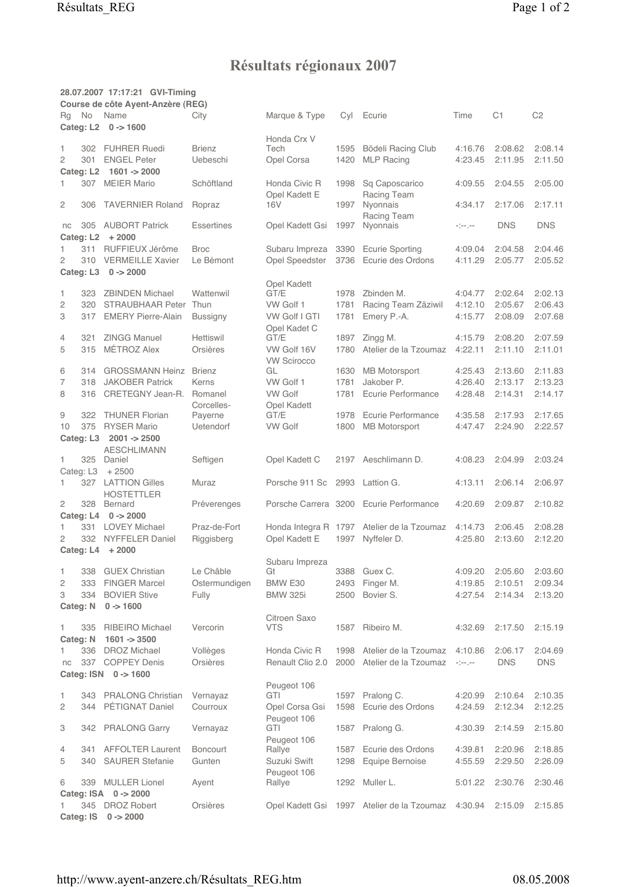## Résultats régionaux 2007

|                |            | 28.07.2007 17:17:21 GVI-Timing<br>Course de côte Ayent-Anzère (REG) |                       |                                   |              |                                            |                    |            |                |
|----------------|------------|---------------------------------------------------------------------|-----------------------|-----------------------------------|--------------|--------------------------------------------|--------------------|------------|----------------|
| Rg             | No         | Name                                                                | City                  | Marque & Type                     | Cyl          | Ecurie                                     | Time               | C1         | C <sub>2</sub> |
|                |            | Categ: L2 0 -> 1600                                                 |                       |                                   |              |                                            |                    |            |                |
|                |            |                                                                     |                       | Honda Crx V                       |              |                                            |                    |            |                |
| 1              |            | 302 FUHRER Ruedi<br><b>ENGEL Peter</b>                              | <b>Brienz</b>         | Tech                              | 1595         | Bödeli Racing Club                         | 4:16.76            | 2:08.62    | 2:08.14        |
| $\overline{c}$ | 301        | Categ: L2 1601 -> 2000                                              | Uebeschi              | Opel Corsa                        | 1420         | <b>MLP Racing</b>                          | 4:23.45            | 2:11.95    | 2:11.50        |
| 1              | 307        | <b>MEIER Mario</b>                                                  | Schöftland            | Honda Civic R                     | 1998         | Sq Caposcarico                             | 4:09.55            | 2:04.55    | 2:05.00        |
|                |            |                                                                     |                       | Opel Kadett E                     |              | Racing Team                                |                    |            |                |
| $\overline{c}$ | 306        | <b>TAVERNIER Roland</b>                                             | Ropraz                | 16 <sub>V</sub>                   | 1997         | Nyonnais<br>Racing Team                    | 4:34.17            | 2:17.06    | 2:17.11        |
| nc             | 305        | <b>AUBORT Patrick</b><br>Categ: L2 + 2000                           | <b>Essertines</b>     | Opel Kadett Gsi                   | 1997         | Nyonnais                                   | -1-1-              | <b>DNS</b> | <b>DNS</b>     |
| 1              |            | 311 RUFFIEUX Jérôme                                                 | <b>Broc</b>           | Subaru Impreza                    | 3390         | <b>Ecurie Sporting</b>                     | 4:09.04            | 2:04.58    | 2:04.46        |
| $\overline{c}$ |            | 310 VERMEILLE Xavier                                                | Le Bémont             | Opel Speedster                    | 3736         | Ecurie des Ordons                          | 4:11.29            | 2:05.77    | 2:05.52        |
|                |            | Categ: L3 0 -> 2000                                                 |                       |                                   |              |                                            |                    |            |                |
|                |            |                                                                     |                       | Opel Kadett                       |              |                                            |                    |            |                |
| 1              | 323        | <b>ZBINDEN Michael</b>                                              | Wattenwil             | GT/E                              | 1978         | Zbinden M.                                 | 4:04.77            | 2:02.64    | 2:02.13        |
| $\overline{c}$ | 320        | STRAUBHAAR Peter                                                    | Thun                  | VW Golf 1                         | 1781         | Racing Team Zäziwil                        | 4:12.10            | 2:05.67    | 2:06.43        |
| 3              | 317        | <b>EMERY Pierre-Alain</b>                                           | Bussigny              | <b>VW Golf I GTI</b>              | 1781         | Emery P.-A.                                | 4:15.77            | 2:08.09    | 2:07.68        |
|                |            | <b>ZINGG Manuel</b>                                                 |                       | Opel Kadet C                      |              |                                            |                    |            | 2:07.59        |
| 4<br>5         | 321<br>315 | MÉTROZ Alex                                                         | Hettiswil<br>Orsières | GT/E                              | 1897<br>1780 | Zingg M.<br>Atelier de la Tzoumaz          | 4:15.79<br>4:22.11 | 2:08.20    |                |
|                |            |                                                                     |                       | VW Golf 16V<br><b>VW Scirocco</b> |              |                                            |                    | 2:11.10    | 2:11.01        |
| 6              | 314        | <b>GROSSMANN Heinz</b>                                              | <b>Brienz</b>         | GL                                | 1630         | <b>MB</b> Motorsport                       | 4:25.43            | 2:13.60    | 2:11.83        |
| 7              | 318        | <b>JAKOBER Patrick</b>                                              | Kerns                 | VW Golf 1                         | 1781         | Jakober P.                                 | 4:26.40            | 2:13.17    | 2:13.23        |
| 8              | 316        | CRETEGNY Jean-R.                                                    | Romanel               | <b>VW Golf</b>                    | 1781         | Ecurie Performance                         | 4:28.48            | 2:14.31    | 2:14.17        |
|                |            |                                                                     | Corcelles-            | Opel Kadett                       |              |                                            |                    |            |                |
| 9              | 322        | <b>THUNER Florian</b>                                               | Payerne               | GT/E                              | 1978         | Ecurie Performance                         | 4:35.58            | 2:17.93    | 2:17.65        |
| 10             |            | 375 RYSER Mario                                                     | <b>Uetendorf</b>      | <b>VW Golf</b>                    | 1800         | <b>MB</b> Motorsport                       | 4:47.47            | 2:24.90    | 2:22.57        |
|                |            | Categ: L3 2001 -> 2500                                              |                       |                                   |              |                                            |                    |            |                |
|                |            | <b>AESCHLIMANN</b>                                                  |                       |                                   |              |                                            |                    |            |                |
| 1              | 325        | Daniel                                                              | Seftigen              | Opel Kadett C                     | 2197         | Aeschlimann D.                             | 4:08.23            | 2:04.99    | 2:03.24        |
|                | Categ: L3  | $+2500$                                                             |                       |                                   |              |                                            |                    |            |                |
| 1              |            | 327 LATTION Gilles                                                  | Muraz                 | Porsche 911 Sc                    | 2993         | Lattion G.                                 | 4:13.11            | 2:06.14    | 2:06.97        |
|                |            | <b>HOSTETTLER</b>                                                   |                       |                                   |              |                                            |                    |            |                |
| $\overline{c}$ |            | 328 Bernard                                                         | Préverenges           |                                   |              | Porsche Carrera 3200 Ecurie Performance    | 4:20.69            | 2:09.87    | 2:10.82        |
|                | Categ: L4  | $0 - > 2000$                                                        |                       |                                   |              |                                            |                    |            |                |
| 1              | 331        | <b>LOVEY Michael</b>                                                | Praz-de-Fort          | Honda Integra R 1797              |              | Atelier de la Tzoumaz                      | 4:14.73            | 2:06.45    | 2:08.28        |
| $\overline{2}$ | 332        | NYFFELER Daniel                                                     | Riggisberg            | Opel Kadett E                     | 1997         | Nyffeler D.                                | 4:25.80            | 2:13.60    | 2:12.20        |
|                |            | Categ: $L4 + 2000$                                                  |                       |                                   |              |                                            |                    |            |                |
| 1              | 338        | <b>GUEX Christian</b>                                               | Le Châble             | Subaru Impreza<br>Gt              |              | 3388 Guex C.                               | 4:09.20            | 2:05.60    | 2:03.60        |
| $\mathbf{2}$   | 333        | <b>FINGER Marcel</b>                                                | Ostermundigen         | BMW E30                           | 2493         | Finger M.                                  | 4:19.85            | 2:10.51    | 2:09.34        |
| 3              | 334        | <b>BOVIER Stive</b>                                                 | Fully                 | <b>BMW 325i</b>                   | 2500         | Bovier S.                                  | 4:27.54            | 2:14.34    | 2:13.20        |
|                | Categ: N   | $0 - 1600$                                                          |                       |                                   |              |                                            |                    |            |                |
|                |            |                                                                     |                       | Citroen Saxo                      |              |                                            |                    |            |                |
| 1              | 335        | <b>RIBEIRO</b> Michael                                              | Vercorin              | <b>VTS</b>                        | 1587         | Ribeiro M.                                 | 4:32.69            | 2:17.50    | 2:15.19        |
|                | Categ: N   | $1601 - 3500$                                                       |                       |                                   |              |                                            |                    |            |                |
| 1              | 336        | <b>DROZ Michael</b>                                                 | Vollèges              | Honda Civic R                     | 1998         | Atelier de la Tzoumaz                      | 4:10.86            | 2:06.17    | 2:04.69        |
| nc             |            | 337 COPPEY Denis                                                    | Orsières              | Renault Clio 2.0                  | 2000         | Atelier de la Tzoumaz                      | $-1 - 1 - 1 - 1$   | <b>DNS</b> | <b>DNS</b>     |
|                |            | Categ: ISN 0 -> 1600                                                |                       |                                   |              |                                            |                    |            |                |
|                |            |                                                                     |                       | Peugeot 106                       |              |                                            |                    |            |                |
| 1              | 343        | <b>PRALONG Christian</b>                                            | Vernayaz              | GTI                               | 1597         | Pralong C.                                 | 4:20.99            | 2:10.64    | 2:10.35        |
| $\overline{c}$ | 344        | PÉTIGNAT Daniel                                                     | Courroux              | Opel Corsa Gsi                    | 1598         | Ecurie des Ordons                          | 4:24.59            | 2:12.34    | 2:12.25        |
|                |            |                                                                     |                       | Peugeot 106                       |              |                                            |                    |            |                |
| 3              | 342        | <b>PRALONG Garry</b>                                                | Vernayaz              | GTI                               | 1587         | Pralong G.                                 | 4:30.39            | 2:14.59    | 2:15.80        |
| 4              | 341        | <b>AFFOLTER Laurent</b>                                             | <b>Boncourt</b>       | Peugeot 106<br>Rallye             | 1587         | Ecurie des Ordons                          | 4:39.81            | 2:20.96    | 2:18.85        |
| 5              | 340        | <b>SAURER Stefanie</b>                                              | Gunten                | Suzuki Swift                      | 1298         | Equipe Bernoise                            | 4:55.59            | 2:29.50    | 2:26.09        |
|                |            |                                                                     |                       | Peugeot 106                       |              |                                            |                    |            |                |
| 6              |            | 339 MULLER Lionel                                                   | Ayent                 | Rallye                            | 1292         | Muller L.                                  | 5:01.22            | 2:30.76    | 2:30.46        |
|                |            | Categ: ISA 0 -> 2000                                                |                       |                                   |              |                                            |                    |            |                |
|                |            | 345 DROZ Robert                                                     | Orsières              |                                   |              | Opel Kadett Gsi 1997 Atelier de la Tzoumaz | 4:30.94            | 2:15.09    | 2:15.85        |
|                |            | Categ: IS 0 -> 2000                                                 |                       |                                   |              |                                            |                    |            |                |